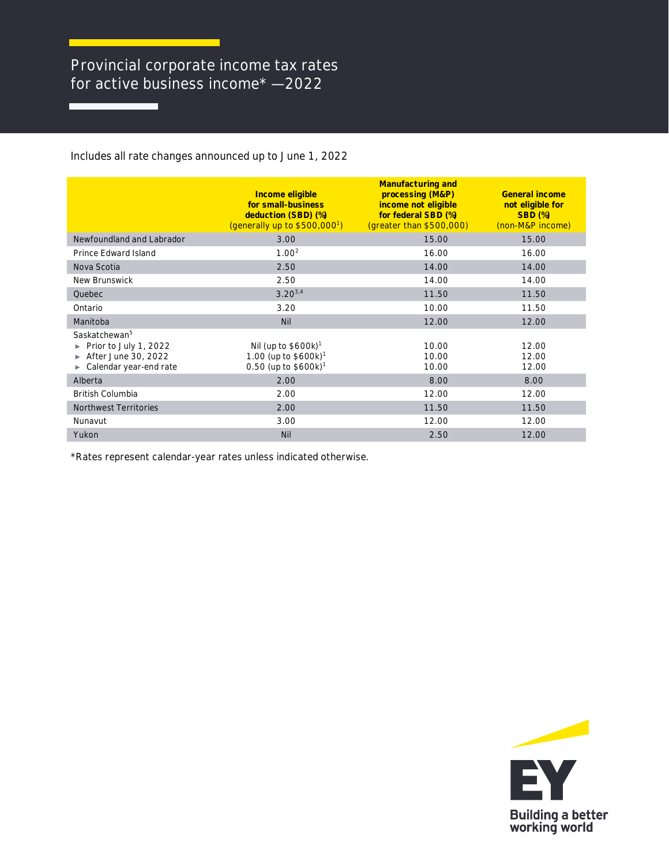## Provincial corporate income tax rates for active business income\* — 2022

Includes all rate changes announced up to June 1, 2022

|                                                                                                     | Income eligible<br>for small-business<br>deduction (SBD) (%)<br>(generally up to $$500,000^1$ )               | <b>Manufacturing and</b><br>processing (M&P)<br>income not eligible<br>for federal SBD (%)<br>(greater than \$500,000) | General income<br>not eligible for<br><b>SBD (%)</b><br>(non-M&P income) |
|-----------------------------------------------------------------------------------------------------|---------------------------------------------------------------------------------------------------------------|------------------------------------------------------------------------------------------------------------------------|--------------------------------------------------------------------------|
| Newfoundland and Labrador                                                                           | 3.00                                                                                                          | 15.00                                                                                                                  | 15.00                                                                    |
| Prince Edward Island                                                                                | 1.00 <sup>2</sup>                                                                                             | 16.00                                                                                                                  | 16.00                                                                    |
| Nova Scotia                                                                                         | 2.50                                                                                                          | 14.00                                                                                                                  | 14.00                                                                    |
| New Brunswick                                                                                       | 2.50                                                                                                          | 14.00                                                                                                                  | 14.00                                                                    |
| Quebec                                                                                              | $3.20^{3,4}$                                                                                                  | 11.50                                                                                                                  | 11.50                                                                    |
| Ontario                                                                                             | 3.20                                                                                                          | 10.00                                                                                                                  | 11.50                                                                    |
| Manitoba                                                                                            | <b>Nil</b>                                                                                                    | 12.00                                                                                                                  | 12.00                                                                    |
| Saskatchewan <sup>5</sup><br>Prior to July 1, 2022<br>After June 30, 2022<br>Calendar year-end rate | Nil (up to $$600k$ ) <sup>1</sup><br>1.00 (up to $$600k$ ) <sup>1</sup><br>$0.50$ (up to \$600k) <sup>1</sup> | 10.00<br>10.00<br>10.00                                                                                                | 12.00<br>12.00<br>12.00                                                  |
| Alberta                                                                                             | 2.00                                                                                                          | 8.00                                                                                                                   | 8.00                                                                     |
| <b>British Columbia</b>                                                                             | 2.00                                                                                                          | 12.00                                                                                                                  | 12.00                                                                    |
| <b>Northwest Territories</b>                                                                        | 2.00                                                                                                          | 11.50                                                                                                                  | 11.50                                                                    |
| Nunavut                                                                                             | 3.00                                                                                                          | 12.00                                                                                                                  | 12.00                                                                    |
| Yukon                                                                                               | <b>Nil</b>                                                                                                    | 2.50                                                                                                                   | 12.00                                                                    |

\*Rates represent calendar-year rates unless indicated otherwise.